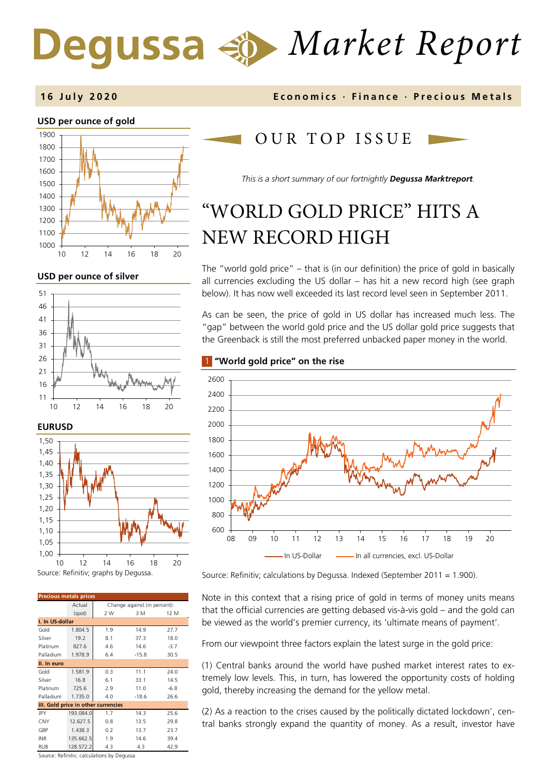# *Market Report* Degussa

# **USD per ounce of gold**  1000 1100 1200 1300 1400 1500 1600 1700 1800 1900 10 12 14 16 18 20

## **USD per ounce of silver**





| <b>Precious metals prices</b>       |           |                              |         |        |  |  |
|-------------------------------------|-----------|------------------------------|---------|--------|--|--|
|                                     | Actual    | Change against (in percent): |         |        |  |  |
|                                     | (spot)    | 2 W                          | 3 M     | 12 M   |  |  |
| I. In US-dollar                     |           |                              |         |        |  |  |
| Gold                                | 1.804.5   | 1.9                          | 14.9    | 27.7   |  |  |
| Silver                              | 19.2      | 8.1                          | 37.3    | 18.0   |  |  |
| Platinum                            | 827.6     | 4.6                          | 14.6    | $-3.7$ |  |  |
| Palladium                           | 1.978.9   | 6.4                          | $-15.8$ | 30.5   |  |  |
| II. In euro                         |           |                              |         |        |  |  |
| Gold                                | 1.581.9   | 0.3                          | 11.1    | 24.0   |  |  |
| Silver                              | 16.8      | 6.1                          | 33.1    | 14.5   |  |  |
| Platinum                            | 725.6     | 2.9                          | 11.0    | $-6.8$ |  |  |
| Palladium                           | 1.735.0   | 4.0                          | $-18.6$ | 26.6   |  |  |
| III. Gold price in other currencies |           |                              |         |        |  |  |
| JPY                                 | 193.084.0 | 1.7                          | 14.3    | 25.6   |  |  |
| <b>CNY</b>                          | 12.627.5  | 0.8                          | 13.5    | 29.8   |  |  |
| GBP                                 | 1.438.3   | 0.2                          | 13.7    | 23.7   |  |  |
| <b>INR</b>                          | 135.662.5 | 1.9                          | 14.6    | 39.4   |  |  |
| RUB                                 | 128.572.2 | 4.3                          | 4.3     | 42.9   |  |  |

Source: Refinitiv; calculations by Degussa.

# **1 6 July 2020 Economics · Finance · Precious M etals**

# OUR TOP ISSUE

*This is a short summary of our fortnightly Degussa Marktreport.*

# "WORLD GOLD PRICE" HITS A NEW RECORD HIGH

The "world gold price" – that is (in our definition) the price of gold in basically all currencies excluding the US dollar – has hit a new record high (see graph below). It has now well exceeded its last record level seen in September 2011.

As can be seen, the price of gold in US dollar has increased much less. The "gap" between the world gold price and the US dollar gold price suggests that the Greenback is still the most preferred unbacked paper money in the world.

# 1 **"World gold price" on the rise**



Source: Refinitiv; calculations by Degussa. Indexed (September 2011 = 1.900).

Note in this context that a rising price of gold in terms of money units means that the official currencies are getting debased vis-à-vis gold – and the gold can be viewed as the world's premier currency, its 'ultimate means of payment'.

From our viewpoint three factors explain the latest surge in the gold price:

(1) Central banks around the world have pushed market interest rates to extremely low levels. This, in turn, has lowered the opportunity costs of holding gold, thereby increasing the demand for the yellow metal.

(2) As a reaction to the crises caused by the politically dictated lockdown', central banks strongly expand the quantity of money. As a result, investor have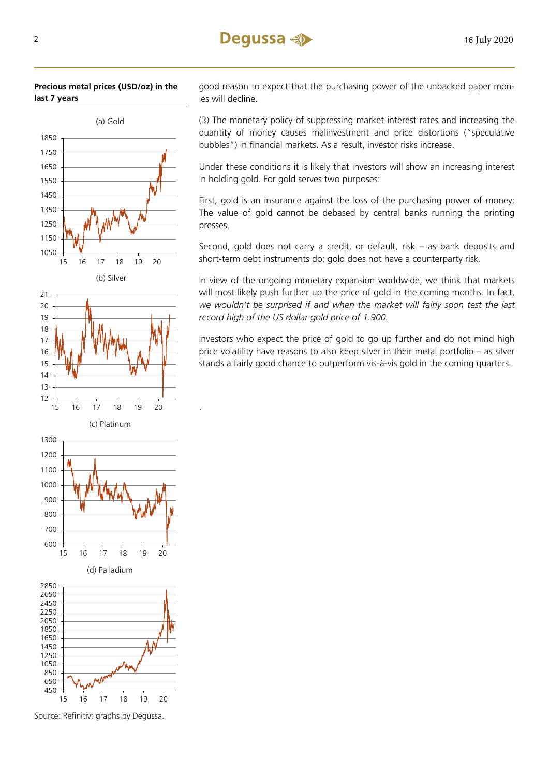## **Precious metal prices (USD/oz) in the last 7 years**



.

good reason to expect that the purchasing power of the unbacked paper monies will decline.

(3) The monetary policy of suppressing market interest rates and increasing the quantity of money causes malinvestment and price distortions ("speculative bubbles") in financial markets. As a result, investor risks increase.

Under these conditions it is likely that investors will show an increasing interest in holding gold. For gold serves two purposes:

First, gold is an insurance against the loss of the purchasing power of money: The value of gold cannot be debased by central banks running the printing presses.

Second, gold does not carry a credit, or default, risk – as bank deposits and short-term debt instruments do; gold does not have a counterparty risk.

In view of the ongoing monetary expansion worldwide, we think that markets will most likely push further up the price of gold in the coming months. In fact, *we wouldn't be surprised if and when the market will fairly soon test the last record high of the US dollar gold price of 1.900.* 

Investors who expect the price of gold to go up further and do not mind high price volatility have reasons to also keep silver in their metal portfolio – as silver stands a fairly good chance to outperform vis-à-vis gold in the coming quarters.

Source: Refinitiv; graphs by Degussa.

16 17 18 19 20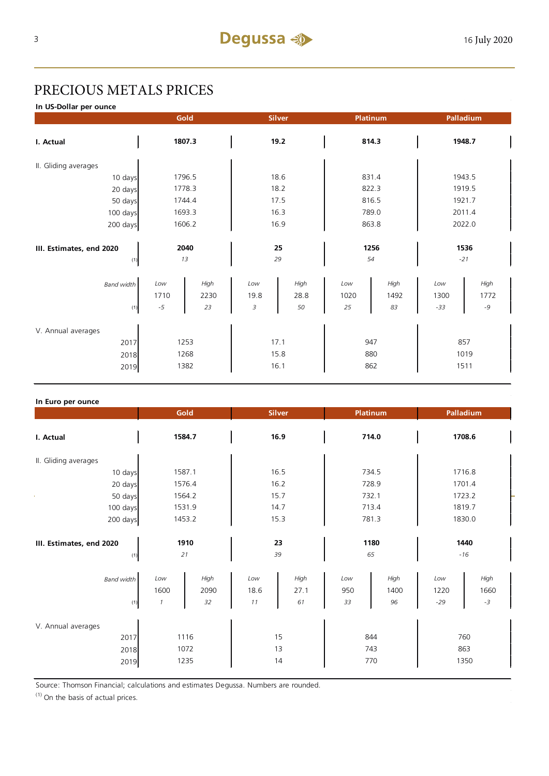# PRECIOUS METALS PRICES

**In US-Dollar per ounce**

|                                 |        | Gold       |      | <b>Silver</b> |       | <b>Platinum</b> |        | Palladium     |
|---------------------------------|--------|------------|------|---------------|-------|-----------------|--------|---------------|
| I. Actual                       |        | 1807.3     |      | 19.2          |       | 814.3           |        | 1948.7        |
| II. Gliding averages            |        |            |      |               |       |                 |        |               |
| 10 days                         |        | 1796.5     |      | 18.6          |       | 831.4           |        | 1943.5        |
| 20 days                         |        | 1778.3     |      | 18.2          |       | 822.3           |        | 1919.5        |
| 50 days                         | 1744.4 |            | 17.5 |               | 816.5 |                 | 1921.7 |               |
| 100 days                        | 1693.3 |            | 16.3 |               | 789.0 |                 | 2011.4 |               |
| 200 days                        |        | 1606.2     |      | 16.9          |       | 863.8           |        | 2022.0        |
| III. Estimates, end 2020<br>(1) |        | 2040<br>13 |      | 25<br>29      |       | 1256<br>54      |        | 1536<br>$-21$ |
| <b>Band width</b>               | Low    | High       | Low  | High          | Low   | High            | Low    | High          |
|                                 | 1710   | 2230       | 19.8 | 28.8          | 1020  | 1492            | 1300   | 1772          |
| (1)                             | $-5$   | 23         | 3    | 50            | 25    | 83              | $-33$  | $-9$          |
| V. Annual averages              |        |            |      |               |       |                 |        |               |
| 2017                            | 1253   |            | 17.1 |               | 947   |                 | 857    |               |
| 2018                            | 1268   |            | 15.8 |               | 880   |                 | 1019   |               |
| 2019                            |        | 1382       |      | 16.1          |       | 862             |        | 1511          |
|                                 |        |            |      |               |       |                 |        |               |

| In Euro per ounce                          |                              |                    |                   |                    |                  |                    |                      |                      |
|--------------------------------------------|------------------------------|--------------------|-------------------|--------------------|------------------|--------------------|----------------------|----------------------|
|                                            | Gold                         |                    | <b>Silver</b>     |                    |                  | Platinum           | Palladium            |                      |
| I. Actual                                  | 1584.7                       |                    | 16.9              |                    |                  | 714.0              |                      | 1708.6               |
| II. Gliding averages                       |                              |                    |                   |                    |                  |                    |                      |                      |
| 10 days                                    | 1587.1                       |                    |                   | 16.5               |                  | 734.5              |                      | 1716.8               |
| 20 days                                    | 1576.4                       |                    |                   | 16.2               |                  | 728.9              |                      | 1701.4               |
| 50 days                                    | 1564.2                       |                    | 15.7              |                    | 732.1            |                    | 1723.2               |                      |
| 100 days                                   | 1531.9                       |                    | 14.7              |                    | 713.4            |                    | 1819.7               |                      |
| 200 days                                   | 1453.2                       |                    |                   | 15.3               |                  | 781.3              |                      | 1830.0               |
| III. Estimates, end 2020<br>(1)            | 1910<br>21                   |                    | 39                | 23                 |                  | 1180<br>65         |                      | 1440<br>$-16$        |
| <b>Band width</b><br>(1)                   | Low<br>1600<br>$\mathcal{I}$ | High<br>2090<br>32 | Low<br>18.6<br>11 | High<br>27.1<br>61 | Low<br>950<br>33 | High<br>1400<br>96 | Low<br>1220<br>$-29$ | High<br>1660<br>$-3$ |
| V. Annual averages<br>2017<br>2018<br>2019 | 1116<br>1072<br>1235         |                    |                   | 15<br>13<br>14     |                  | 844<br>743<br>770  |                      | 760<br>863<br>1350   |

Source: Thomson Financial; calculations and estimates Degussa. Numbers are rounded.

(1) On the basis of actual prices.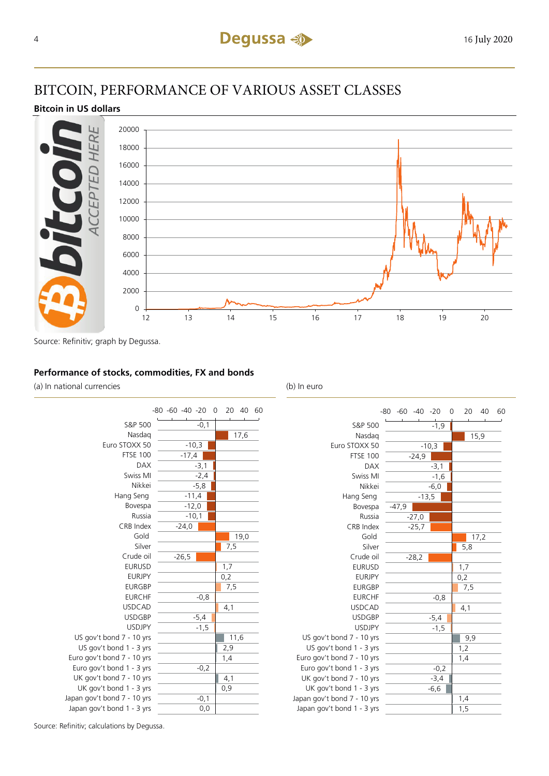# BITCOIN, PERFORMANCE OF VARIOUS ASSET CLASSES

# **Bitcoin in US dollars**



Source: Refinitiv; graph by Degussa.

## **Performance of stocks, commodities, FX and bonds**

(a) In national currencies (b) In euro



|                             | $-80 -60 -40 -20$ | 0<br>20<br>40<br>60 |
|-----------------------------|-------------------|---------------------|
| S&P 500                     | $-1,9$            |                     |
| Nasdag                      |                   | 15,9                |
| Euro STOXX 50               | $-10,3$           |                     |
| <b>FTSE 100</b>             | $-24,9$           |                     |
| <b>DAX</b>                  | $-3,1$            |                     |
| Swiss MI                    | $-1,6$            |                     |
| Nikkei                      | $-6,0$            |                     |
| Hang Seng                   | $-13,5$           |                     |
| Bovespa                     | $-47,9$           |                     |
| Russia                      | $-27,0$           |                     |
| CRB Index                   | $-25,7$           |                     |
| Gold                        |                   | 17,2                |
| Silver                      |                   | 5,8                 |
| Crude oil                   | $-28,2$           |                     |
| <b>EURUSD</b>               |                   | 1,7                 |
| <b>EURJPY</b>               |                   | 0,2                 |
| <b>EURGBP</b>               |                   | 7,5                 |
| <b>EURCHF</b>               | $-0,8$            |                     |
| <b>USDCAD</b>               |                   | 4,1                 |
| <b>USDGBP</b>               | $-5,4$            |                     |
| <b>USDJPY</b>               | $-1,5$            |                     |
| US gov't bond 7 - 10 yrs    |                   | 9,9                 |
| US gov't bond 1 - 3 yrs     |                   | 1,2                 |
| Euro gov't bond 7 - 10 yrs  |                   | 1,4                 |
| Euro gov't bond 1 - 3 yrs   | $-0,2$            |                     |
| UK gov't bond 7 - 10 yrs    | $-3,4$            |                     |
| UK gov't bond 1 - 3 yrs     | $-6,6$            |                     |
| Japan gov't bond 7 - 10 yrs |                   | 1,4                 |
| Japan gov't bond 1 - 3 yrs  |                   | 1,5                 |

Source: Refinitiv; calculations by Degussa.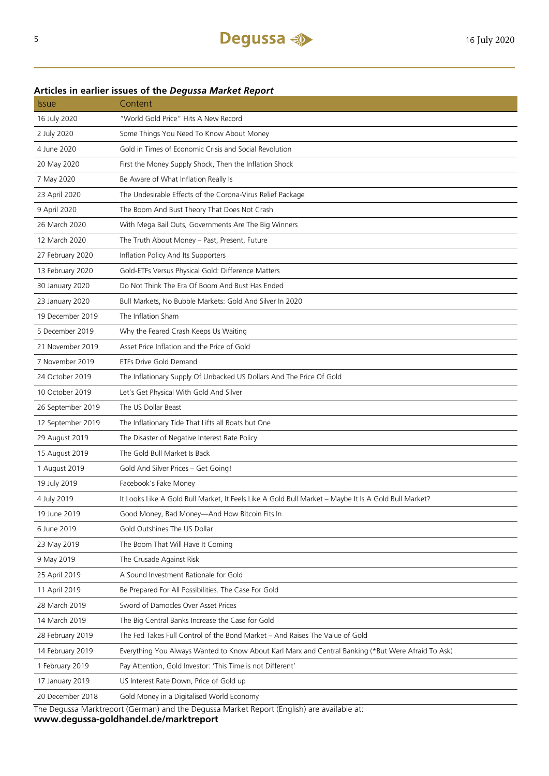# **Articles in earlier issues of the** *Degussa Market Report*

| <i><b>Issue</b></i> | Content                                                                                              |
|---------------------|------------------------------------------------------------------------------------------------------|
| 16 July 2020        | "World Gold Price" Hits A New Record                                                                 |
| 2 July 2020         | Some Things You Need To Know About Money                                                             |
| 4 June 2020         | Gold in Times of Economic Crisis and Social Revolution                                               |
| 20 May 2020         | First the Money Supply Shock, Then the Inflation Shock                                               |
| 7 May 2020          | Be Aware of What Inflation Really Is                                                                 |
| 23 April 2020       | The Undesirable Effects of the Corona-Virus Relief Package                                           |
| 9 April 2020        | The Boom And Bust Theory That Does Not Crash                                                         |
| 26 March 2020       | With Mega Bail Outs, Governments Are The Big Winners                                                 |
| 12 March 2020       | The Truth About Money - Past, Present, Future                                                        |
| 27 February 2020    | Inflation Policy And Its Supporters                                                                  |
| 13 February 2020    | Gold-ETFs Versus Physical Gold: Difference Matters                                                   |
| 30 January 2020     | Do Not Think The Era Of Boom And Bust Has Ended                                                      |
| 23 January 2020     | Bull Markets, No Bubble Markets: Gold And Silver In 2020                                             |
| 19 December 2019    | The Inflation Sham                                                                                   |
| 5 December 2019     | Why the Feared Crash Keeps Us Waiting                                                                |
| 21 November 2019    | Asset Price Inflation and the Price of Gold                                                          |
| 7 November 2019     | ETFs Drive Gold Demand                                                                               |
| 24 October 2019     | The Inflationary Supply Of Unbacked US Dollars And The Price Of Gold                                 |
| 10 October 2019     | Let's Get Physical With Gold And Silver                                                              |
| 26 September 2019   | The US Dollar Beast                                                                                  |
| 12 September 2019   | The Inflationary Tide That Lifts all Boats but One                                                   |
| 29 August 2019      | The Disaster of Negative Interest Rate Policy                                                        |
| 15 August 2019      | The Gold Bull Market Is Back                                                                         |
| 1 August 2019       | Gold And Silver Prices - Get Going!                                                                  |
| 19 July 2019        | Facebook's Fake Money                                                                                |
| 4 July 2019         | It Looks Like A Gold Bull Market, It Feels Like A Gold Bull Market - Maybe It Is A Gold Bull Market? |
| 19 June 2019        | Good Money, Bad Money—And How Bitcoin Fits In                                                        |
| 6 June 2019         | Gold Outshines The US Dollar                                                                         |
| 23 May 2019         | The Boom That Will Have It Coming                                                                    |
| 9 May 2019          | The Crusade Against Risk                                                                             |
| 25 April 2019       | A Sound Investment Rationale for Gold                                                                |
| 11 April 2019       | Be Prepared For All Possibilities. The Case For Gold                                                 |
| 28 March 2019       | Sword of Damocles Over Asset Prices                                                                  |
| 14 March 2019       | The Big Central Banks Increase the Case for Gold                                                     |
| 28 February 2019    | The Fed Takes Full Control of the Bond Market - And Raises The Value of Gold                         |
| 14 February 2019    | Everything You Always Wanted to Know About Karl Marx and Central Banking (*But Were Afraid To Ask)   |
| 1 February 2019     | Pay Attention, Gold Investor: 'This Time is not Different'                                           |
| 17 January 2019     | US Interest Rate Down, Price of Gold up                                                              |
| 20 December 2018    | Gold Money in a Digitalised World Economy                                                            |

The Degussa Marktreport (German) and the Degussa Market Report (English) are available at: **www.degussa-goldhandel.de/marktreport**